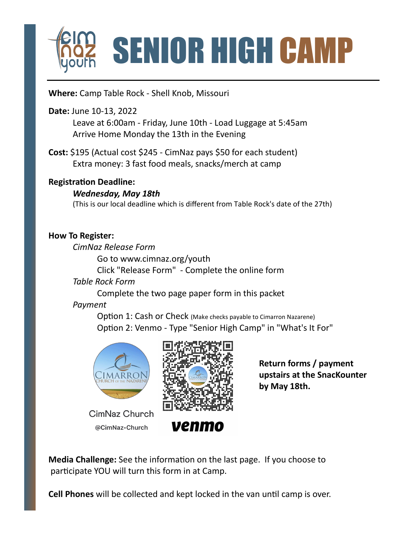# SENIOR HIGH CAMP

**Where:** Camp Table Rock - Shell Knob, Missouri

# **Date:** June 10-13, 2022

Leave at 6:00am - Friday, June 10th - Load Luggage at 5:45am Arrive Home Monday the 13th in the Evening

**Cost:** \$195 (Actual cost \$245 - CimNaz pays \$50 for each student) Extra money: 3 fast food meals, snacks/merch at camp

# **Registration Deadline:**

# *Wednesday, May 18th*

(This is our local deadline which is different from Table Rock's date of the 27th)

# **How To Register:**

*CimNaz Release Form*

Go to www.cimnaz.org/youth

Click "Release Form" - Complete the online form

# *Table Rock Form*

Complete the two page paper form in this packet

# *Payment*

Option 1: Cash or Check (Make checks payable to Cimarron Nazarene) Option 2: Venmo - Type "Senior High Camp" in "What's It For"



CimNaz Church @CimNaz-Church



**Return forms / payment upstairs at the SnacKounter by May 18th.**

**Venmo** 

**Media Challenge:** See the information on the last page. If you choose to participate YOU will turn this form in at Camp.

**Cell Phones** will be collected and kept locked in the van until camp is over.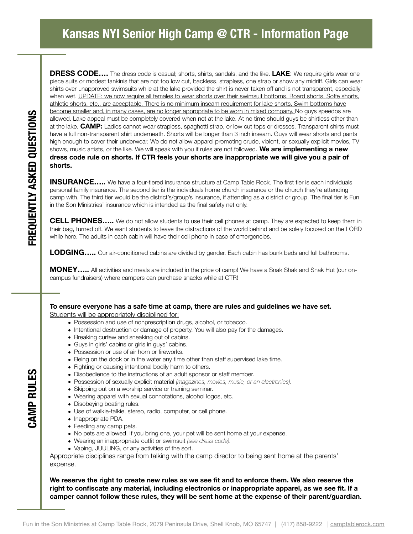# **Kansas NYI Senior High Camp @ CTR - Information Page**

**DRESS CODE….** The dress code is casual; shorts, shirts, sandals, and the like. **LAKE**: We require girls wear one piece suits or modest tankinis that are not too low cut, backless, strapless, one strap or show any midriff. Girls can wear shirts over unapproved swimsuits while at the lake provided the shirt is never taken off and is not transparent, especially when wet. UPDATE: we now require all females to wear shorts over their swimsuit bottoms. Board shorts, Soffe shorts, athletic shorts, etc.. are acceptable. There is no minimum inseam requirement for lake shorts. Swim bottoms have become smaller and, in many cases, are no longer appropriate to be worn in mixed company. No guys speedos are allowed. Lake appeal must be completely covered when not at the lake. At no time should guys be shirtless other than at the lake. **CAMP:** Ladies cannot wear strapless, spaghetti strap, or low cut tops or dresses. Transparent shirts must have a full non-transparent shirt underneath. Shorts will be longer than 3 inch inseam. Guys will wear shorts and pants high enough to cover their underwear. We do not allow apparel promoting crude, violent, or sexually explicit movies, TV shows, music artists, or the like. We will speak with you if rules are not followed. **We are implementing a new dress code rule on shorts. If CTR feels your shorts are inappropriate we will give you a pair of shorts.** 

**INSURANCE…..** We have a four-tiered insurance structure at Camp Table Rock. The first tier is each individuals personal family insurance. The second tier is the individuals home church insurance or the church they're attending camp with. The third tier would be the district's/group's insurance, if attending as a district or group. The final tier is Fun in the Son Ministries' insurance which is intended as the final safety net only.

**CELL PHONES…..** We do not allow students to use their cell phones at camp. They are expected to keep them in their bag, turned off. We want students to leave the distractions of the world behind and be solely focused on the LORD while here. The adults in each cabin will have their cell phone in case of emergencies.

**LODGING…..** Our air-conditioned cabins are divided by gender. Each cabin has bunk beds and full bathrooms.

**MONEY…..** All activities and meals are included in the price of camp! We have a Snak Shak and Snak Hut (our oncampus fundraisers) where campers can purchase snacks while at CTR!

# **To ensure everyone has a safe time at camp, there are rules and guidelines we have set.**

Students will be appropriately disciplined for:

- Possession and use of nonprescription drugs, alcohol, or tobacco.
- Intentional destruction or damage of property. You will also pay for the damages.
- Breaking curfew and sneaking out of cabins.
- Guys in girls' cabins or girls in guys' cabins.
- Possession or use of air horn or fireworks.
- Being on the dock or in the water any time other than staff supervised lake time.
- Fighting or causing intentional bodily harm to others.
- Disobedience to the instructions of an adult sponsor or staff member.
- Possession of sexually explicit material *(magazines, movies, music, or an electronics).*
- Skipping out on a worship service or training seminar.
- Wearing apparel with sexual connotations, alcohol logos, etc.
- Disobeying boating rules.
- Use of walkie-talkie, stereo, radio, computer, or cell phone.
- Inappropriate PDA.
- Feeding any camp pets.
- No pets are allowed. If you bring one, your pet will be sent home at your expense.
- Wearing an inappropriate outfit or swimsuit *(see dress code).*
- Vaping, JUULING, or any activities of the sort.

Appropriate disciplines range from talking with the camp director to being sent home at the parents' expense.

**We reserve the right to create new rules as we see fit and to enforce them. We also reserve the right to confiscate any material, including electronics or inappropriate apparel, as we see fit. If a camper cannot follow these rules, they will be sent home at the expense of their parent/guardian.**

**CAMP RULES**

CAMP RULES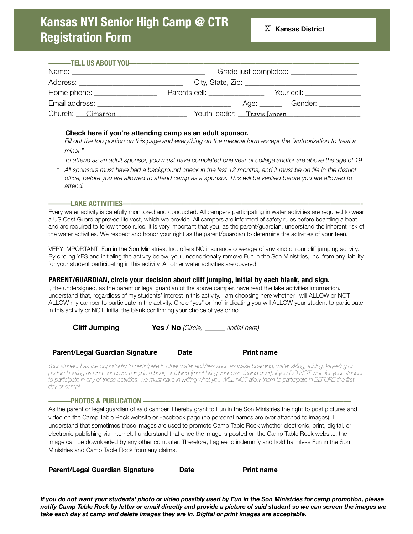# **Kansas NYI Senior High Camp @ CTR Registration Form**

|                                             |                                |             | Grade just completed: ____________________ |
|---------------------------------------------|--------------------------------|-------------|--------------------------------------------|
| Address: __________________________________ |                                |             |                                            |
| Home phone: __________________              | Parents cell: ________________ |             | Your cell: <b>Example 2019</b>             |
|                                             |                                | Age: ______ | Gender: <b>Example 1999</b>                |
| Church: Cimarron                            |                                |             | Youth leader: Travis Janzen                |

- \_\_\_\_ **Check here if you're attending camp as an adult sponsor.** *- Fill out the top portion on this page and everything on the medical form except the "authorization to treat a minor."*
- *- To attend as an adult sponsor, you must have completed one year of college and/or are above the age of 19.*
- *- All sponsors must have had a background check in the last 12 months, and it must be on file in the district office, before you are allowed to attend camp as a sponsor. This will be verified before you are allowed to attend.*

### **———LAKE ACTIVITIES————————————————————————————————-**

Every water activity is carefully monitored and conducted. All campers participating in water activities are required to wear a US Cost Guard approved life vest, which we provide. All campers are informed of safety rules before boarding a boat and are required to follow those rules. It is very important that you, as the parent/guardian, understand the inherent risk of the water activities. We respect and honor your right as the parent/guardian to determine the activities of your teen.

VERY IMPORTANT! Fun in the Son Ministries, Inc. offers NO insurance coverage of any kind on our cliff jumping activity. By circling YES and initialing the activity below, you unconditionally remove Fun in the Son Ministries, Inc. from any liability for your student participating in this activity. All other water activities are covered.

### **PARENT/GUARDIAN, circle your decision about cliff jumping, initial by each blank, and sign.**

I, the undersigned, as the parent or legal guardian of the above camper, have read the lake activities information. I understand that, regardless of my students' interest in this activity, I am choosing here whether I will ALLOW or NOT ALLOW my camper to participate in the activity. Circle "yes" or "no" indicating you will ALLOW your student to participate in this activity or NOT. Initial the blank confirming your choice of yes or no.

| <b>Cliff Jumping</b> | Yes / No (Circle) | (Initial here) |
|----------------------|-------------------|----------------|
|                      |                   |                |

| <b>Parent/Legal Guardian Signature</b> | <b>Date</b> | <b>Print name</b> |
|----------------------------------------|-------------|-------------------|
|----------------------------------------|-------------|-------------------|

*Your student has the opportunity to participate in other water activities such as wake boarding, water skiing, tubing, kayaking or*  paddle boating around our cove, riding in a boat, or fishing (must bring your own fishing gear). If you DO NOT wish for your student *to participate in any of these activities, we must have in writing what you WILL NOT allow them to participate in BEFORE the first day of camp!*

### **———PHOTOS & PUBLICATION ————————————————————————————**

As the parent or legal guardian of said camper, I hereby grant to Fun in the Son Ministries the right to post pictures and video on the Camp Table Rock website or Facebook page (no personal names are ever attached to images). I understand that sometimes these images are used to promote Camp Table Rock whether electronic, print, digital, or electronic publishing via internet. I understand that once the image is posted on the Camp Table Rock website, the image can be downloaded by any other computer. Therefore, I agree to indemnify and hold harmless Fun in the Son Ministries and Camp Table Rock from any claims.

**Parent/Legal Guardian Signature bate by Print name** 

**\_\_\_\_\_\_\_\_\_\_\_\_\_\_\_\_\_\_\_\_\_\_\_\_\_\_\_\_\_\_\_\_ \_\_\_\_\_\_\_\_\_\_\_\_\_ \_\_\_\_\_\_\_\_\_\_\_\_\_\_\_\_\_\_\_\_\_\_\_\_\_\_\_** 

*If you do not want your students' photo or video possibly used by Fun in the Son Ministries for camp promotion, please notify Camp Table Rock by letter or email directly and provide a picture of said student so we can screen the images we take each day at camp and delete images they are in. Digital or print images are acceptable.*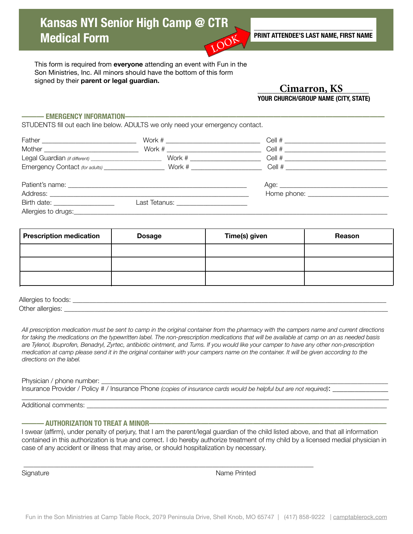# **Kansas NYI Senior High Camp @ CTR Medical Form** LOOK



This form is required from **everyone** attending an event with Fun in the Son Ministries, Inc. All minors should have the bottom of this form signed by their **parent or legal guardian.**

## \_\_\_\_\_\_\_\_\_\_\_\_\_\_\_\_\_\_\_\_\_\_\_\_\_\_\_\_\_\_ **Cimarron, KSYOUR CHURCH/GROUP NAME (CITY, STATE)**

### **——— EMERGENCY INFORMATION———————————————————————————————————**

STUDENTS fill out each line below. ADULTS we only need your emergency contact.

|                                   | Work # $\_$                                                                                                                                                                                                                   |                                                                                                                                                                                                                               |  |
|-----------------------------------|-------------------------------------------------------------------------------------------------------------------------------------------------------------------------------------------------------------------------------|-------------------------------------------------------------------------------------------------------------------------------------------------------------------------------------------------------------------------------|--|
|                                   |                                                                                                                                                                                                                               | Cell # $\qquad$                                                                                                                                                                                                               |  |
|                                   |                                                                                                                                                                                                                               |                                                                                                                                                                                                                               |  |
|                                   |                                                                                                                                                                                                                               |                                                                                                                                                                                                                               |  |
|                                   |                                                                                                                                                                                                                               |                                                                                                                                                                                                                               |  |
|                                   |                                                                                                                                                                                                                               |                                                                                                                                                                                                                               |  |
| Address: ______________________   |                                                                                                                                                                                                                               | Home phone: North Money States and States and States and States and States and States and States and States and States and States and States and States and States and States and States and States and States and States and |  |
| Birth date: _____________________ | Last Tetanus: the contract of the contract of the contract of the contract of the contract of the contract of the contract of the contract of the contract of the contract of the contract of the contract of the contract of |                                                                                                                                                                                                                               |  |
| Allergies to drugs:               |                                                                                                                                                                                                                               |                                                                                                                                                                                                                               |  |

| <b>Prescription medication</b> | <b>Dosage</b> | Time(s) given | Reason |
|--------------------------------|---------------|---------------|--------|
|                                |               |               |        |
|                                |               |               |        |
|                                |               |               |        |

Allergies to foods: \_\_\_\_\_\_\_\_\_\_\_\_\_\_\_\_\_\_\_\_\_\_\_\_\_\_\_\_\_\_\_\_\_\_\_\_\_\_\_\_\_\_\_\_\_\_\_\_\_\_\_\_\_\_\_\_\_\_\_\_\_\_\_\_\_\_\_\_\_\_\_\_\_\_\_\_\_\_\_\_\_\_\_\_\_\_\_\_\_\_\_\_\_ Other allergies:  $\Box$ 

*All prescription medication must be sent to camp in the original container from the pharmacy with the campers name and current directions for taking the medications on the typewritten label. The non-prescription medications that will be available at camp on an as needed basis are Tylenol, Ibuprofen, Benadryl, Zyrtec, antibiotic ointment, and Tums. If you would like your camper to have any other non-prescription medication at camp please send it in the original container with your campers name on the container. It will be given according to the directions on the label.*

Physician / phone number: \_\_\_\_\_\_

Insurance Provider / Policy # / Insurance Phone *(copies of insurance cards would be helpful but are not required)*: \_\_\_\_\_\_\_\_\_\_\_\_\_\_\_

\_\_\_\_\_\_\_\_\_\_\_\_\_\_\_\_\_\_\_\_\_\_\_\_\_\_\_\_\_\_\_\_\_\_\_\_\_\_\_\_\_\_\_\_\_\_\_\_\_\_\_\_\_\_\_\_\_\_\_\_\_\_\_\_\_\_\_\_\_\_\_\_\_\_\_\_\_\_\_\_\_\_\_\_\_\_

Additional comments:

### **——— AUTHORIZATION TO TREAT A MINOR————————————————————————————————**

I swear (affirm), under penalty of perjury, that I am the parent/legal guardian of the child listed above, and that all information contained in this authorization is true and correct. I do hereby authorize treatment of my child by a licensed medial physician in case of any accident or illness that may arise, or should hospitalization by necessary.

\_\_\_\_\_\_\_\_\_\_\_\_\_\_\_\_\_\_\_\_\_\_\_\_\_\_\_\_\_\_\_\_\_\_\_\_\_\_\_\_\_\_\_\_\_\_\_\_\_\_\_\_\_\_\_\_\_\_\_\_\_\_\_\_\_\_\_\_\_\_\_\_\_\_\_\_\_\_\_\_\_\_\_\_\_\_\_\_\_\_\_\_\_\_\_\_\_\_\_

Signature Name Printed